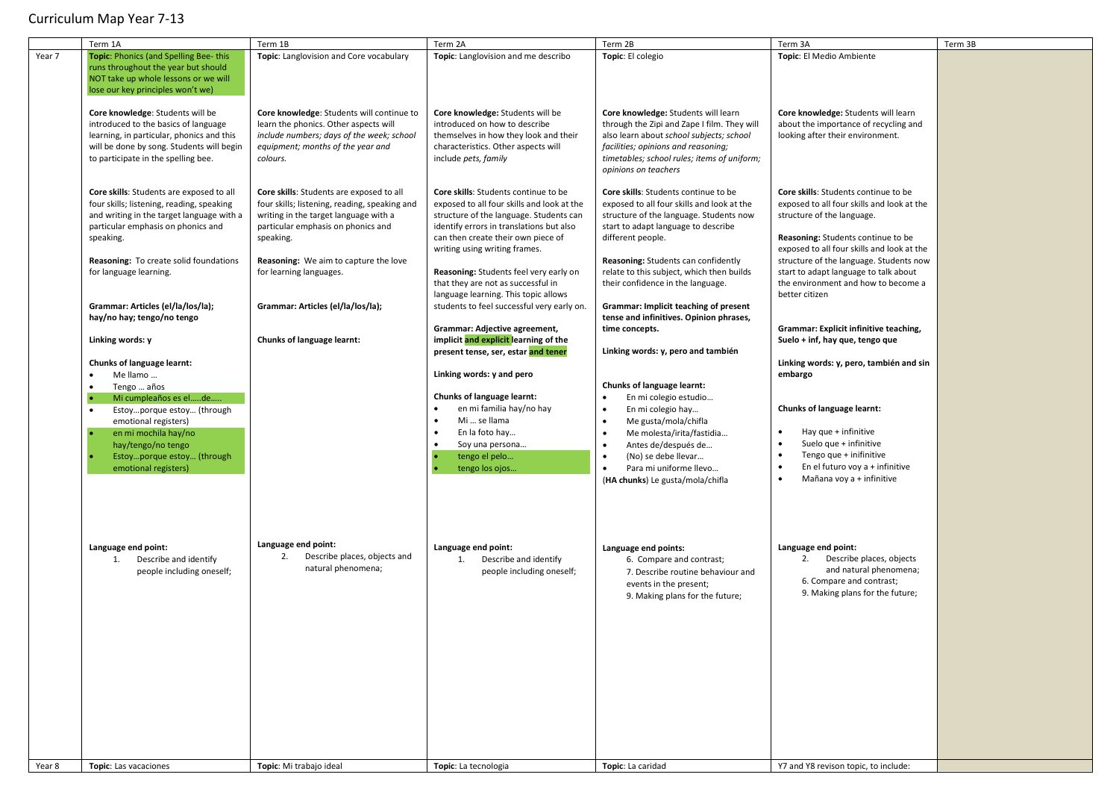|        | Term 1A                                                                                                                                                                                                                                                      | Term 1B                                                                                                                                                                                                                                                   | Term 2A                                                                                                                                                                                                                                                                                                                          | Term 2B                                                                                                                                                                                                                                                                                                                                                                    | Term 3A                                                                                                                                                                                                                                                                                                                           | Term 3B |
|--------|--------------------------------------------------------------------------------------------------------------------------------------------------------------------------------------------------------------------------------------------------------------|-----------------------------------------------------------------------------------------------------------------------------------------------------------------------------------------------------------------------------------------------------------|----------------------------------------------------------------------------------------------------------------------------------------------------------------------------------------------------------------------------------------------------------------------------------------------------------------------------------|----------------------------------------------------------------------------------------------------------------------------------------------------------------------------------------------------------------------------------------------------------------------------------------------------------------------------------------------------------------------------|-----------------------------------------------------------------------------------------------------------------------------------------------------------------------------------------------------------------------------------------------------------------------------------------------------------------------------------|---------|
| Year 7 | Topic: Phonics (and Spelling Bee-this<br>runs throughout the year but should<br>NOT take up whole lessons or we will                                                                                                                                         | Topic: Langlovision and Core vocabulary                                                                                                                                                                                                                   | Topic: Langlovision and me describo                                                                                                                                                                                                                                                                                              | Topic: El colegio                                                                                                                                                                                                                                                                                                                                                          | Topic: El Medio Ambiente                                                                                                                                                                                                                                                                                                          |         |
|        | lose our key principles won't we)<br>Core knowledge: Students will be<br>introduced to the basics of language<br>learning, in particular, phonics and this<br>will be done by song. Students will begin<br>to participate in the spelling bee.               | Core knowledge: Students will continue to<br>learn the phonics. Other aspects will<br>include numbers; days of the week; school<br>equipment; months of the year and<br>colours.                                                                          | Core knowledge: Students will be<br>introduced on how to describe<br>themselves in how they look and their<br>characteristics. Other aspects will<br>include pets, family                                                                                                                                                        | Core knowledge: Students will learn<br>through the Zipi and Zape I film. They will<br>also learn about school subjects; school<br>facilities; opinions and reasoning;<br>timetables; school rules; items of uniform;<br>opinions on teachers                                                                                                                               | Core knowledge: Students will learn<br>about the importance of recycling and<br>looking after their environment.                                                                                                                                                                                                                  |         |
|        | Core skills: Students are exposed to all<br>four skills; listening, reading, speaking<br>and writing in the target language with a<br>particular emphasis on phonics and<br>speaking.<br>Reasoning: To create solid foundations<br>for language learning.    | Core skills: Students are exposed to all<br>four skills; listening, reading, speaking and<br>writing in the target language with a<br>particular emphasis on phonics and<br>speaking.<br>Reasoning: We aim to capture the love<br>for learning languages. | Core skills: Students continue to be<br>exposed to all four skills and look at the<br>structure of the language. Students can<br>identify errors in translations but also<br>can then create their own piece of<br>writing using writing frames.<br>Reasoning: Students feel very early on<br>that they are not as successful in | Core skills: Students continue to be<br>exposed to all four skills and look at the<br>structure of the language. Students now<br>start to adapt language to describe<br>different people.<br>Reasoning: Students can confidently<br>relate to this subject, which then builds<br>their confidence in the language.                                                         | Core skills: Students continue to be<br>exposed to all four skills and look at the<br>structure of the language.<br>Reasoning: Students continue to be<br>exposed to all four skills and look at the<br>structure of the language. Students now<br>start to adapt language to talk about<br>the environment and how to become a   |         |
|        | Grammar: Articles (el/la/los/la);<br>hay/no hay; tengo/no tengo                                                                                                                                                                                              | Grammar: Articles (el/la/los/la);                                                                                                                                                                                                                         | language learning. This topic allows<br>students to feel successful very early on.<br>Grammar: Adjective agreement,                                                                                                                                                                                                              | Grammar: Implicit teaching of present<br>tense and infinitives. Opinion phrases,<br>time concepts.                                                                                                                                                                                                                                                                         | better citizen<br>Grammar: Explicit infinitive teaching,                                                                                                                                                                                                                                                                          |         |
|        | Linking words: y<br>Chunks of language learnt:<br>Me llamo<br>Tengo  años<br>Mi cumpleaños es elde<br>Estoyporque estoy (through<br>emotional registers)<br>en mi mochila hay/no<br>hay/tengo/no tengo<br>Estoyporque estoy (through<br>emotional registers) | Chunks of language learnt:                                                                                                                                                                                                                                | implicit and explicit learning of the<br>present tense, ser, estar and tener<br>Linking words: y and pero<br>Chunks of language learnt:<br>en mi familia hay/no hay<br>Mi  se llama<br>$\bullet$<br>En la foto hay<br>Soy una persona<br>$\bullet$<br>tengo el pelo<br>tengo los ojos                                            | Linking words: y, pero and también<br>Chunks of language learnt:<br>En mi colegio estudio<br>$\bullet$<br>En mi colegio hay<br>$\bullet$<br>$\bullet$<br>Me gusta/mola/chifla<br>Me molesta/irita/fastidia<br>$\bullet$<br>$\bullet$<br>Antes de/después de<br>$\bullet$<br>(No) se debe llevar<br>$\bullet$<br>Para mi uniforme llevo<br>(HA chunks) Le gusta/mola/chifla | Suelo + inf, hay que, tengo que<br>Linking words: y, pero, también and sin<br>embargo<br>Chunks of language learnt:<br>Hay que + infinitive<br>$\bullet$<br>$\bullet$<br>Suelo que + infinitive<br>$\bullet$<br>Tengo que + inifinitive<br>En el futuro voy a + infinitive<br>$\bullet$<br>$\bullet$<br>Mañana voy a + infinitive |         |
|        | Language end point:<br>Describe and identify<br>1.<br>people including oneself;                                                                                                                                                                              | Language end point:<br>Describe places, objects and<br>2.<br>natural phenomena;                                                                                                                                                                           | Language end point:<br>Describe and identify<br>1.<br>people including oneself;                                                                                                                                                                                                                                                  | Language end points:<br>6. Compare and contrast;<br>7. Describe routine behaviour and<br>events in the present;<br>9. Making plans for the future;                                                                                                                                                                                                                         | Language end point:<br>2. Describe places, objects<br>and natural phenomena;<br>6. Compare and contrast;<br>9. Making plans for the future;                                                                                                                                                                                       |         |
| Year 8 | Topic: Las vacaciones                                                                                                                                                                                                                                        | Topic: Mi trabajo ideal                                                                                                                                                                                                                                   | Topic: La tecnologia                                                                                                                                                                                                                                                                                                             | Topic: La caridad                                                                                                                                                                                                                                                                                                                                                          | Y7 and Y8 revison topic, to include:                                                                                                                                                                                                                                                                                              |         |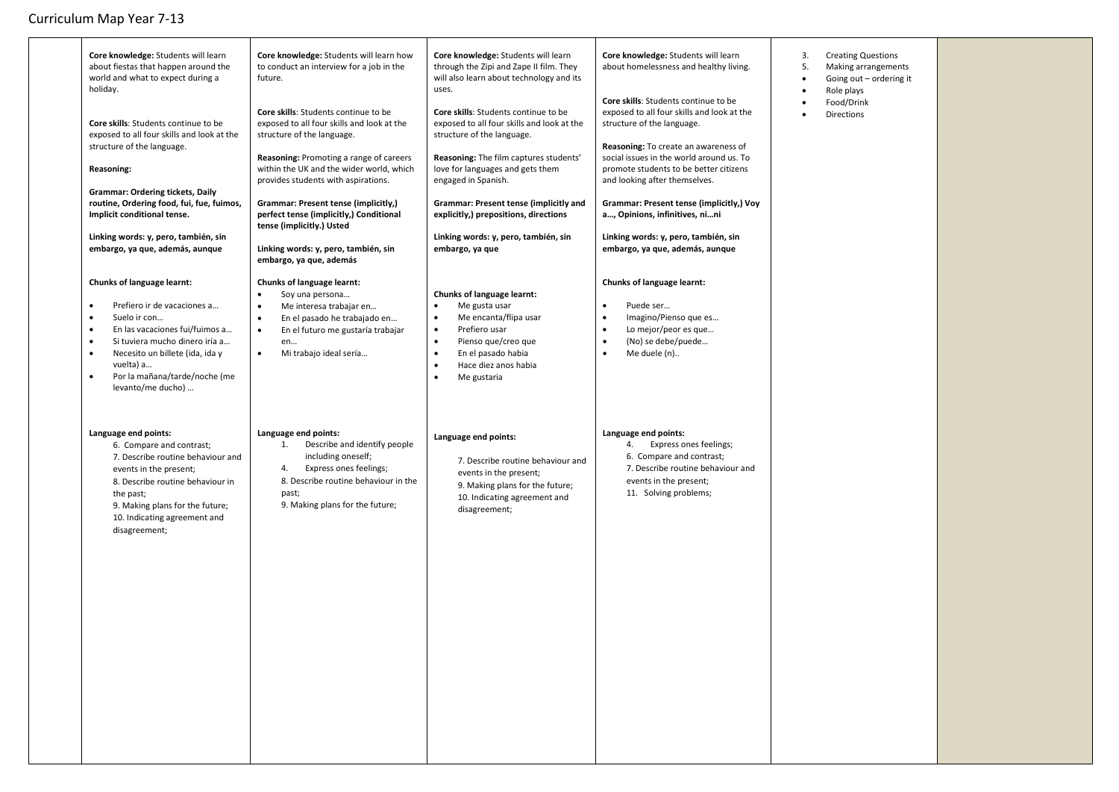| Core knowledge: Students will learn<br>about fiestas that happen around the<br>world and what to expect during a<br>holiday.<br>Core skills: Students continue to be<br>exposed to all four skills and look at the<br>structure of the language.<br>Reasoning:<br><b>Grammar: Ordering tickets, Daily</b><br>routine, Ordering food, fui, fue, fuimos,<br>Implicit conditional tense.<br>Linking words: y, pero, también, sin<br>embargo, ya que, además, aunque<br>Chunks of language learnt: | Core knowledge: Students will learn how<br>to conduct an interview for a job in the<br>future.<br>Core skills: Students continue to be<br>exposed to all four skills and look at the<br>structure of the language.<br>Reasoning: Promoting a range of careers<br>within the UK and the wider world, which<br>provides students with aspirations.<br>Grammar: Present tense (implicitly,)<br>perfect tense (implicitly,) Conditional<br>tense (implicitly.) Usted<br>Linking words: y, pero, también, sin<br>embargo, ya que, además<br>Chunks of language learnt:<br>Soy una persona<br>$\bullet$ | Core knowledge: Students will learn<br>through the Zipi and Zape II film. They<br>will also learn about technology and its<br>uses.<br>Core skills: Students continue to be<br>exposed to all four skills and look at the<br>structure of the language.<br>Reasoning: The film captures students'<br>love for languages and gets them<br>engaged in Spanish.<br>Grammar: Present tense (implicitly and<br>explicitly,) prepositions, directions<br>Linking words: y, pero, también, sin<br>embargo, ya que<br>Chunks of language learnt: | Core knowledge: Students will learn<br>about homelessness and healthy living.<br>Core skills: Students continue to be<br>exposed to all four skills and look at the<br>structure of the language.<br>Reasoning: To create an awareness of<br>social issues in the world around us. To<br>promote students to be better citizens<br>and looking after themselves.<br>Grammar: Present tense (implicitly,) Voy<br>a, Opinions, infinitives, nini<br>Linking words: y, pero, también, sin<br>embargo, ya que, además, aunque<br>Chunks of language learnt: | 3.<br>5.<br>$\bullet$ | <b>Creating Questions</b><br>Making arrangements<br>Going out - ordering it<br>Role plays<br>Food/Drink<br><b>Directions</b> |
|------------------------------------------------------------------------------------------------------------------------------------------------------------------------------------------------------------------------------------------------------------------------------------------------------------------------------------------------------------------------------------------------------------------------------------------------------------------------------------------------|---------------------------------------------------------------------------------------------------------------------------------------------------------------------------------------------------------------------------------------------------------------------------------------------------------------------------------------------------------------------------------------------------------------------------------------------------------------------------------------------------------------------------------------------------------------------------------------------------|------------------------------------------------------------------------------------------------------------------------------------------------------------------------------------------------------------------------------------------------------------------------------------------------------------------------------------------------------------------------------------------------------------------------------------------------------------------------------------------------------------------------------------------|---------------------------------------------------------------------------------------------------------------------------------------------------------------------------------------------------------------------------------------------------------------------------------------------------------------------------------------------------------------------------------------------------------------------------------------------------------------------------------------------------------------------------------------------------------|-----------------------|------------------------------------------------------------------------------------------------------------------------------|
| Prefiero ir de vacaciones a<br>$\bullet$<br>Suelo ir con<br>En las vacaciones fui/fuimos a<br>Si tuviera mucho dinero iría a<br>Necesito un billete (ida, ida y<br>$\bullet$<br>vuelta) a<br>Por la mañana/tarde/noche (me<br>٠<br>levanto/me ducho)                                                                                                                                                                                                                                           | Me interesa trabajar en<br>$\bullet$<br>En el pasado he trabajado en<br>$\bullet$<br>$\bullet$<br>En el futuro me gustaría trabajar<br>en<br>Mi trabajo ideal sería<br>$\bullet$                                                                                                                                                                                                                                                                                                                                                                                                                  | Me gusta usar<br>$\bullet$<br>Me encanta/flipa usar<br>$\bullet$<br>Prefiero usar<br>٠<br>Pienso que/creo que<br>$\bullet$<br>En el pasado habia<br>$\bullet$<br>Hace diez anos habia<br>$\bullet$<br>$\bullet$<br>Me gustaria                                                                                                                                                                                                                                                                                                           | Puede ser<br>$\bullet$<br>$\bullet$<br>Imagino/Pienso que es<br>Lo mejor/peor es que<br>$\bullet$<br>$\bullet$<br>(No) se debe/puede<br>Me duele (n)<br>$\bullet$                                                                                                                                                                                                                                                                                                                                                                                       |                       |                                                                                                                              |
| Language end points:<br>6. Compare and contrast;<br>7. Describe routine behaviour and<br>events in the present;<br>8. Describe routine behaviour in<br>the past;<br>9. Making plans for the future;<br>10. Indicating agreement and<br>disagreement;                                                                                                                                                                                                                                           | Language end points:<br>1.<br>Describe and identify people<br>including oneself;<br>Express ones feelings;<br>4.<br>8. Describe routine behaviour in the<br>past;<br>9. Making plans for the future;                                                                                                                                                                                                                                                                                                                                                                                              | Language end points:<br>7. Describe routine behaviour and<br>events in the present;<br>9. Making plans for the future;<br>10. Indicating agreement and<br>disagreement;                                                                                                                                                                                                                                                                                                                                                                  | Language end points:<br>Express ones feelings;<br>4.<br>6. Compare and contrast;<br>7. Describe routine behaviour and<br>events in the present;<br>11. Solving problems;                                                                                                                                                                                                                                                                                                                                                                                |                       |                                                                                                                              |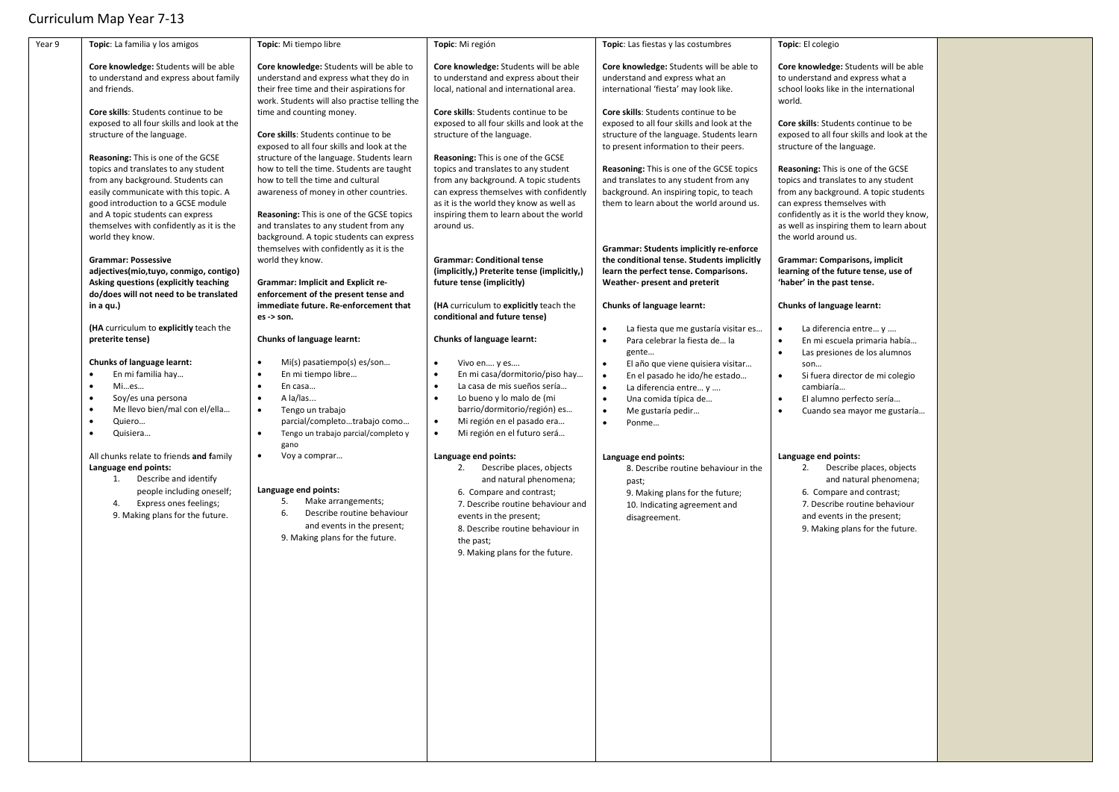| Year 9 | Topic: La familia y los amigos                                                                                                                                                                                                                                                                                                                                                                                                                                                                                                                                                                                                                                                                                                                                                                                                                                                                                                                                                                                                                                                                                   | Topic: Mi tiempo libre                                                                                                                                                                                                                                                                                                                                                                                                                                                                                                                                                                                                                                                                                                                                                                                                                                                                                                                                                                                                                                                                                                                                                                                                                                                     | Topic: Mi región                                                                                                                                                                                                                                                                                                                                                                                                                                                                                                                                                                                                                                                                                                                                                                                                                                                                                                                                                                                                                                                                                                                                                                                                                                                   | Topic: Las fiestas y las costumbres                                                                                                                                                                                                                                                                                                                                                                                                                                                                                                                                                                                                                                                                                                                                                                                                                                                                                                                                                                                                                                                                                                                                | Topic: El colegio                                                                                                                                                                                                                                                                                                                                                                                                                                                                                                                                                                                                                                                                                                                                                                                                                                                                                                                                                                                                                                                                                                                          |  |
|--------|------------------------------------------------------------------------------------------------------------------------------------------------------------------------------------------------------------------------------------------------------------------------------------------------------------------------------------------------------------------------------------------------------------------------------------------------------------------------------------------------------------------------------------------------------------------------------------------------------------------------------------------------------------------------------------------------------------------------------------------------------------------------------------------------------------------------------------------------------------------------------------------------------------------------------------------------------------------------------------------------------------------------------------------------------------------------------------------------------------------|----------------------------------------------------------------------------------------------------------------------------------------------------------------------------------------------------------------------------------------------------------------------------------------------------------------------------------------------------------------------------------------------------------------------------------------------------------------------------------------------------------------------------------------------------------------------------------------------------------------------------------------------------------------------------------------------------------------------------------------------------------------------------------------------------------------------------------------------------------------------------------------------------------------------------------------------------------------------------------------------------------------------------------------------------------------------------------------------------------------------------------------------------------------------------------------------------------------------------------------------------------------------------|--------------------------------------------------------------------------------------------------------------------------------------------------------------------------------------------------------------------------------------------------------------------------------------------------------------------------------------------------------------------------------------------------------------------------------------------------------------------------------------------------------------------------------------------------------------------------------------------------------------------------------------------------------------------------------------------------------------------------------------------------------------------------------------------------------------------------------------------------------------------------------------------------------------------------------------------------------------------------------------------------------------------------------------------------------------------------------------------------------------------------------------------------------------------------------------------------------------------------------------------------------------------|--------------------------------------------------------------------------------------------------------------------------------------------------------------------------------------------------------------------------------------------------------------------------------------------------------------------------------------------------------------------------------------------------------------------------------------------------------------------------------------------------------------------------------------------------------------------------------------------------------------------------------------------------------------------------------------------------------------------------------------------------------------------------------------------------------------------------------------------------------------------------------------------------------------------------------------------------------------------------------------------------------------------------------------------------------------------------------------------------------------------------------------------------------------------|--------------------------------------------------------------------------------------------------------------------------------------------------------------------------------------------------------------------------------------------------------------------------------------------------------------------------------------------------------------------------------------------------------------------------------------------------------------------------------------------------------------------------------------------------------------------------------------------------------------------------------------------------------------------------------------------------------------------------------------------------------------------------------------------------------------------------------------------------------------------------------------------------------------------------------------------------------------------------------------------------------------------------------------------------------------------------------------------------------------------------------------------|--|
|        | Core knowledge: Students will be able<br>to understand and express about family<br>and friends.<br>Core skills: Students continue to be<br>exposed to all four skills and look at the<br>structure of the language.<br><b>Reasoning:</b> This is one of the GCSE<br>topics and translates to any student<br>from any background. Students can<br>easily communicate with this topic. A<br>good introduction to a GCSE module<br>and A topic students can express<br>themselves with confidently as it is the<br>world they know.<br><b>Grammar: Possessive</b><br>adjectives(mio,tuyo, conmigo, contigo)<br>Asking questions (explicitly teaching<br>do/does will not need to be translated<br>in a qu.)<br>(HA curriculum to explicitly teach the<br>preterite tense)<br>Chunks of language learnt:<br>En mi familia hay<br>Mies<br>Soy/es una persona<br>Me llevo bien/mal con el/ella<br>Quiero<br>Quisiera<br>All chunks relate to friends and family<br>Language end points:<br>1.<br>Describe and identify<br>people including oneself;<br>Express ones feelings;<br>4.<br>9. Making plans for the future. | Core knowledge: Students will be able to<br>understand and express what they do in<br>their free time and their aspirations for<br>work. Students will also practise telling the<br>time and counting money.<br>Core skills: Students continue to be<br>exposed to all four skills and look at the<br>structure of the language. Students learn<br>how to tell the time. Students are taught<br>how to tell the time and cultural<br>awareness of money in other countries.<br>Reasoning: This is one of the GCSE topics<br>and translates to any student from any<br>background. A topic students can express<br>themselves with confidently as it is the<br>world they know.<br>Grammar: Implicit and Explicit re-<br>enforcement of the present tense and<br>immediate future. Re-enforcement that<br>es -> son.<br>Chunks of language learnt:<br>Mi(s) pasatiempo(s) es/son<br>$\bullet$<br>$\bullet$<br>En mi tiempo libre<br>En casa<br>A la/las<br>$\bullet$<br>Tengo un trabajo<br>parcial/completotrabajo como<br>Tengo un trabajo parcial/completo y<br>$\bullet$<br>gano<br>$\bullet$<br>Voy a comprar<br>Language end points:<br>5.<br>Make arrangements;<br>Describe routine behaviour<br>6.<br>and events in the present;<br>9. Making plans for the future. | Core knowledge: Students will be able<br>to understand and express about their<br>local, national and international area.<br>Core skills: Students continue to be<br>exposed to all four skills and look at the<br>structure of the language.<br>Reasoning: This is one of the GCSE<br>topics and translates to any student<br>from any background. A topic students<br>can express themselves with confidently<br>as it is the world they know as well as<br>inspiring them to learn about the world<br>around us.<br><b>Grammar: Conditional tense</b><br>(implicitly,) Preterite tense (implicitly,)<br>future tense (implicitly)<br>(HA curriculum to explicitly teach the<br>conditional and future tense)<br>Chunks of language learnt:<br>Vivo en y es<br>$\bullet$<br>En mi casa/dormitorio/piso hay<br>La casa de mis sueños sería<br>Lo bueno y lo malo de (mi<br>barrio/dormitorio/región) es<br>Mi región en el pasado era<br>$\bullet$<br>Mi región en el futuro será<br>$\bullet$<br>Language end points:<br>2.<br>Describe places, objects<br>and natural phenomena;<br>6. Compare and contrast;<br>7. Describe routine behaviour and<br>events in the present;<br>8. Describe routine behaviour in<br>the past;<br>9. Making plans for the future. | Core knowledge: Students will be able to<br>understand and express what an<br>international 'fiesta' may look like.<br>Core skills: Students continue to be<br>exposed to all four skills and look at the<br>structure of the language. Students learn<br>to present information to their peers.<br>Reasoning: This is one of the GCSE topics<br>and translates to any student from any<br>background. An inspiring topic, to teach<br>them to learn about the world around us.<br>Grammar: Students implicitly re-enforce<br>the conditional tense. Students implicitly<br>learn the perfect tense. Comparisons.<br>Weather- present and preterit<br>Chunks of language learnt:<br>La fiesta que me gustaría visitar es<br>Para celebrar la fiesta de la<br>gente<br>El año que viene quisiera visitar<br>$\bullet$<br>En el pasado he ido/he estado<br>$\bullet$<br>La diferencia entre y<br>$\bullet$<br>$\bullet$<br>Una comida típica de<br>Me gustaría pedir<br>$\bullet$<br>$\bullet$<br>Ponme<br>Language end points:<br>8. Describe routine behaviour in the<br>past;<br>9. Making plans for the future;<br>10. Indicating agreement and<br>disagreement. | Core knowledge: Students will be able<br>to understand and express what a<br>school looks like in the international<br>world.<br>Core skills: Students continue to be<br>exposed to all four skills and look at the<br>structure of the language.<br>Reasoning: This is one of the GCSE<br>topics and translates to any student<br>from any background. A topic students<br>can express themselves with<br>confidently as it is the world they know,<br>as well as inspiring them to learn about<br>the world around us.<br><b>Grammar: Comparisons, implicit</b><br>learning of the future tense, use of<br>'haber' in the past tense.<br>Chunks of language learnt:<br>La diferencia entre y<br>En mi escuela primaria había<br>Las presiones de los alumnos<br>son<br>Si fuera director de mi colegio<br>$\bullet$<br>cambiaría<br>El alumno perfecto sería<br>$\bullet$<br>Cuando sea mayor me gustaría<br>$\bullet$<br>Language end points:<br>2.<br>Describe places, objects<br>and natural phenomena;<br>6. Compare and contrast;<br>7. Describe routine behaviour<br>and events in the present;<br>9. Making plans for the future. |  |
|        |                                                                                                                                                                                                                                                                                                                                                                                                                                                                                                                                                                                                                                                                                                                                                                                                                                                                                                                                                                                                                                                                                                                  |                                                                                                                                                                                                                                                                                                                                                                                                                                                                                                                                                                                                                                                                                                                                                                                                                                                                                                                                                                                                                                                                                                                                                                                                                                                                            |                                                                                                                                                                                                                                                                                                                                                                                                                                                                                                                                                                                                                                                                                                                                                                                                                                                                                                                                                                                                                                                                                                                                                                                                                                                                    |                                                                                                                                                                                                                                                                                                                                                                                                                                                                                                                                                                                                                                                                                                                                                                                                                                                                                                                                                                                                                                                                                                                                                                    |                                                                                                                                                                                                                                                                                                                                                                                                                                                                                                                                                                                                                                                                                                                                                                                                                                                                                                                                                                                                                                                                                                                                            |  |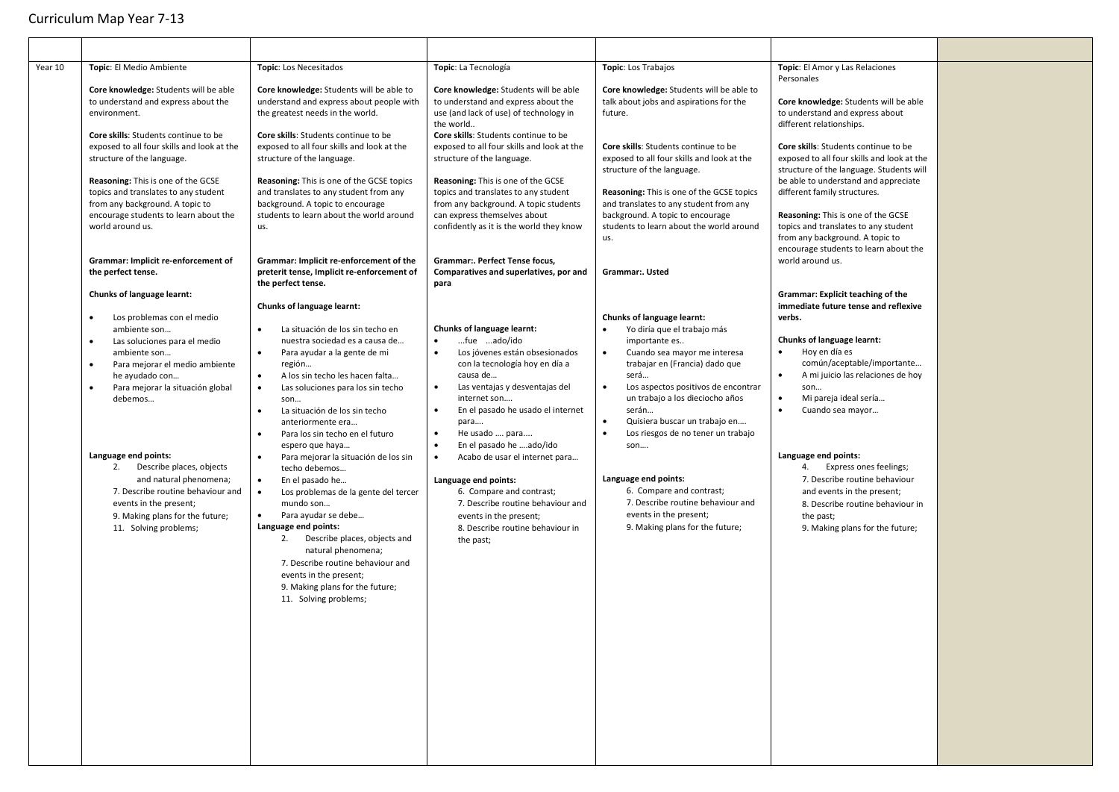| Year 10 | Topic: El Medio Ambiente                                                                                                                                                                                                                                                                                                                                                                                                                                                          | Topic: Los Necesitados                                                                                                                                                                                                                                                                                                                                                                                                                                                                                                                                                                                                                                                                                                                                                                                                                      | Topic: La Tecnología                                                                                                                                                                                                                                                                                                                                                                                                                                                                                                                                      | Topic: Los Trabajos                                                                                                                                                                                                                                                                                                                                                                                                                                                                                                                          | Topic: El Amor y Las Relaciones<br>Personales                                                                                                                                                                                                                                                                                                                                                                                                                                                                         |  |
|---------|-----------------------------------------------------------------------------------------------------------------------------------------------------------------------------------------------------------------------------------------------------------------------------------------------------------------------------------------------------------------------------------------------------------------------------------------------------------------------------------|---------------------------------------------------------------------------------------------------------------------------------------------------------------------------------------------------------------------------------------------------------------------------------------------------------------------------------------------------------------------------------------------------------------------------------------------------------------------------------------------------------------------------------------------------------------------------------------------------------------------------------------------------------------------------------------------------------------------------------------------------------------------------------------------------------------------------------------------|-----------------------------------------------------------------------------------------------------------------------------------------------------------------------------------------------------------------------------------------------------------------------------------------------------------------------------------------------------------------------------------------------------------------------------------------------------------------------------------------------------------------------------------------------------------|----------------------------------------------------------------------------------------------------------------------------------------------------------------------------------------------------------------------------------------------------------------------------------------------------------------------------------------------------------------------------------------------------------------------------------------------------------------------------------------------------------------------------------------------|-----------------------------------------------------------------------------------------------------------------------------------------------------------------------------------------------------------------------------------------------------------------------------------------------------------------------------------------------------------------------------------------------------------------------------------------------------------------------------------------------------------------------|--|
|         | Core knowledge: Students will be able<br>to understand and express about the<br>environment.                                                                                                                                                                                                                                                                                                                                                                                      | Core knowledge: Students will be able to<br>understand and express about people with<br>the greatest needs in the world.                                                                                                                                                                                                                                                                                                                                                                                                                                                                                                                                                                                                                                                                                                                    | Core knowledge: Students will be able<br>to understand and express about the<br>use (and lack of use) of technology in<br>the world                                                                                                                                                                                                                                                                                                                                                                                                                       | Core knowledge: Students will be able to<br>talk about jobs and aspirations for the<br>future.                                                                                                                                                                                                                                                                                                                                                                                                                                               | Core knowledge: Students will be able<br>to understand and express about<br>different relationships.                                                                                                                                                                                                                                                                                                                                                                                                                  |  |
|         | Core skills: Students continue to be<br>exposed to all four skills and look at the<br>structure of the language.                                                                                                                                                                                                                                                                                                                                                                  | Core skills: Students continue to be<br>exposed to all four skills and look at the<br>structure of the language.                                                                                                                                                                                                                                                                                                                                                                                                                                                                                                                                                                                                                                                                                                                            | Core skills: Students continue to be<br>exposed to all four skills and look at the<br>structure of the language.                                                                                                                                                                                                                                                                                                                                                                                                                                          | Core skills: Students continue to be<br>exposed to all four skills and look at the<br>structure of the language.                                                                                                                                                                                                                                                                                                                                                                                                                             | Core skills: Students continue to be<br>exposed to all four skills and look at the<br>structure of the language. Students will                                                                                                                                                                                                                                                                                                                                                                                        |  |
|         | Reasoning: This is one of the GCSE<br>topics and translates to any student<br>from any background. A topic to<br>encourage students to learn about the<br>world around us.                                                                                                                                                                                                                                                                                                        | Reasoning: This is one of the GCSE topics<br>and translates to any student from any<br>background. A topic to encourage<br>students to learn about the world around<br>us.                                                                                                                                                                                                                                                                                                                                                                                                                                                                                                                                                                                                                                                                  | Reasoning: This is one of the GCSE<br>topics and translates to any student<br>from any background. A topic students<br>can express themselves about<br>confidently as it is the world they know                                                                                                                                                                                                                                                                                                                                                           | Reasoning: This is one of the GCSE topics<br>and translates to any student from any<br>background. A topic to encourage<br>students to learn about the world around<br>us.                                                                                                                                                                                                                                                                                                                                                                   | be able to understand and appreciate<br>different family structures.<br>Reasoning: This is one of the GCSE<br>topics and translates to any student<br>from any background. A topic to                                                                                                                                                                                                                                                                                                                                 |  |
|         | Grammar: Implicit re-enforcement of<br>the perfect tense.                                                                                                                                                                                                                                                                                                                                                                                                                         | Grammar: Implicit re-enforcement of the<br>preterit tense, Implicit re-enforcement of<br>the perfect tense.                                                                                                                                                                                                                                                                                                                                                                                                                                                                                                                                                                                                                                                                                                                                 | Grammar:. Perfect Tense focus,<br>Comparatives and superlatives, por and<br>para                                                                                                                                                                                                                                                                                                                                                                                                                                                                          | Grammar:. Usted                                                                                                                                                                                                                                                                                                                                                                                                                                                                                                                              | encourage students to learn about the<br>world around us.                                                                                                                                                                                                                                                                                                                                                                                                                                                             |  |
|         | Chunks of language learnt:<br>Los problemas con el medio<br>$\bullet$<br>ambiente son<br>Las soluciones para el medio<br>ambiente son<br>Para mejorar el medio ambiente<br>$\bullet$<br>he ayudado con<br>Para mejorar la situación global<br>$\bullet$<br>debemos<br>Language end points:<br>2.<br>Describe places, objects<br>and natural phenomena;<br>7. Describe routine behaviour and<br>events in the present;<br>9. Making plans for the future;<br>11. Solving problems; | Chunks of language learnt:<br>$\bullet$<br>La situación de los sin techo en<br>nuestra sociedad es a causa de<br>$\bullet$<br>Para ayudar a la gente de mi<br>región<br>A los sin techo les hacen falta<br>$\bullet$<br>$\bullet$<br>Las soluciones para los sin techo<br>son<br>La situación de los sin techo<br>$\bullet$<br>anteriormente era<br>$\bullet$<br>Para los sin techo en el futuro<br>espero que haya<br>$\bullet$<br>Para mejorar la situación de los sin<br>techo debemos<br>$\bullet$<br>En el pasado he<br>$\bullet$<br>Los problemas de la gente del tercer<br>mundo son<br>Para ayudar se debe<br>$\bullet$<br>Language end points:<br>2. Describe places, objects and<br>natural phenomena;<br>7. Describe routine behaviour and<br>events in the present;<br>9. Making plans for the future;<br>11. Solving problems; | Chunks of language learnt:<br>fue ado/ido<br>$\bullet$<br>Los jóvenes están obsesionados<br>con la tecnología hoy en día a<br>causa de<br>Las ventajas y desventajas del<br>$\bullet$<br>internet son<br>$\bullet$<br>En el pasado he usado el internet<br>para<br>$\bullet$<br>He usado  para<br>$\bullet$<br>En el pasado he ado/ido<br>Acabo de usar el internet para<br>$\bullet$<br>Language end points:<br>6. Compare and contrast;<br>7. Describe routine behaviour and<br>events in the present;<br>8. Describe routine behaviour in<br>the past; | Chunks of language learnt:<br>$\bullet$<br>Yo diría que el trabajo más<br>importante es<br>$\bullet$<br>Cuando sea mayor me interesa<br>trabajar en (Francia) dado que<br>será<br>$\bullet$<br>Los aspectos positivos de encontrar<br>un trabajo a los dieciocho años<br>serán<br>Quisiera buscar un trabajo en<br>$\bullet$<br>$\bullet$<br>Los riesgos de no tener un trabajo<br>son<br>Language end points:<br>6. Compare and contrast;<br>7. Describe routine behaviour and<br>events in the present;<br>9. Making plans for the future; | Grammar: Explicit teaching of the<br>immediate future tense and reflexive<br>verbs.<br>Chunks of language learnt:<br>Hoy en día es<br>$\bullet$<br>común/aceptable/importante<br>$\bullet$<br>A mi juicio las relaciones de hoy<br>son<br>$\bullet$<br>Mi pareja ideal sería<br>$\bullet$<br>Cuando sea mayor<br>Language end points:<br>4. Express ones feelings;<br>7. Describe routine behaviour<br>and events in the present;<br>8. Describe routine behaviour in<br>the past;<br>9. Making plans for the future; |  |
|         |                                                                                                                                                                                                                                                                                                                                                                                                                                                                                   |                                                                                                                                                                                                                                                                                                                                                                                                                                                                                                                                                                                                                                                                                                                                                                                                                                             |                                                                                                                                                                                                                                                                                                                                                                                                                                                                                                                                                           |                                                                                                                                                                                                                                                                                                                                                                                                                                                                                                                                              |                                                                                                                                                                                                                                                                                                                                                                                                                                                                                                                       |  |